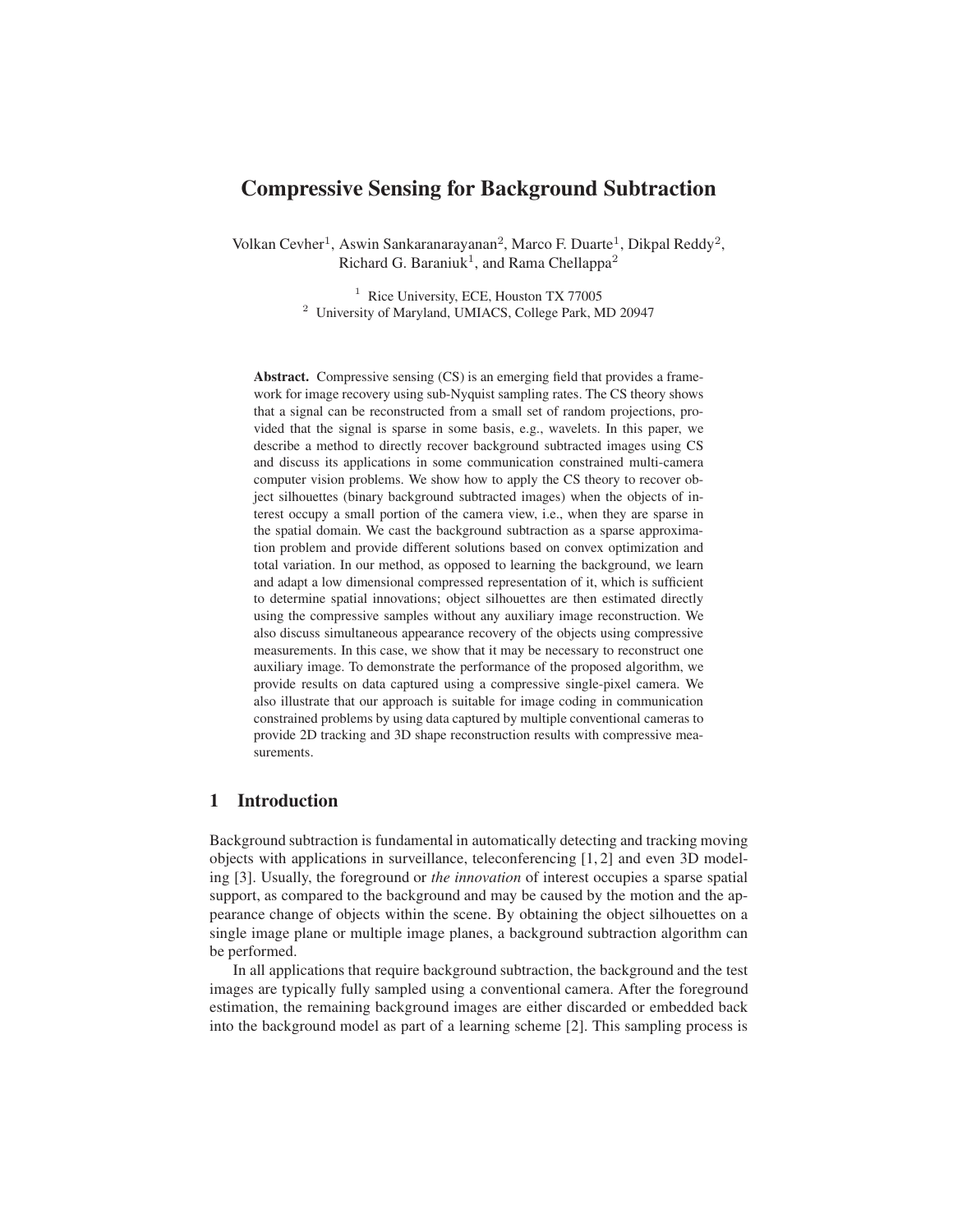# Compressive Sensing for Background Subtraction

Volkan Cevher<sup>1</sup>, Aswin Sankaranarayanan<sup>2</sup>, Marco F. Duarte<sup>1</sup>, Dikpal Reddy<sup>2</sup>, Richard G. Baraniuk<sup>1</sup>, and Rama Chellappa<sup>2</sup>

> <sup>1</sup> Rice University, ECE, Houston TX 77005 <sup>2</sup> University of Maryland, UMIACS, College Park, MD 20947

Abstract. Compressive sensing (CS) is an emerging field that provides a framework for image recovery using sub-Nyquist sampling rates. The CS theory shows that a signal can be reconstructed from a small set of random projections, provided that the signal is sparse in some basis, e.g., wavelets. In this paper, we describe a method to directly recover background subtracted images using CS and discuss its applications in some communication constrained multi-camera computer vision problems. We show how to apply the CS theory to recover object silhouettes (binary background subtracted images) when the objects of interest occupy a small portion of the camera view, i.e., when they are sparse in the spatial domain. We cast the background subtraction as a sparse approximation problem and provide different solutions based on convex optimization and total variation. In our method, as opposed to learning the background, we learn and adapt a low dimensional compressed representation of it, which is sufficient to determine spatial innovations; object silhouettes are then estimated directly using the compressive samples without any auxiliary image reconstruction. We also discuss simultaneous appearance recovery of the objects using compressive measurements. In this case, we show that it may be necessary to reconstruct one auxiliary image. To demonstrate the performance of the proposed algorithm, we provide results on data captured using a compressive single-pixel camera. We also illustrate that our approach is suitable for image coding in communication constrained problems by using data captured by multiple conventional cameras to provide 2D tracking and 3D shape reconstruction results with compressive measurements.

## 1 Introduction

Background subtraction is fundamental in automatically detecting and tracking moving objects with applications in surveillance, teleconferencing [1, 2] and even 3D modeling [3]. Usually, the foreground or *the innovation* of interest occupies a sparse spatial support, as compared to the background and may be caused by the motion and the appearance change of objects within the scene. By obtaining the object silhouettes on a single image plane or multiple image planes, a background subtraction algorithm can be performed.

In all applications that require background subtraction, the background and the test images are typically fully sampled using a conventional camera. After the foreground estimation, the remaining background images are either discarded or embedded back into the background model as part of a learning scheme [2]. This sampling process is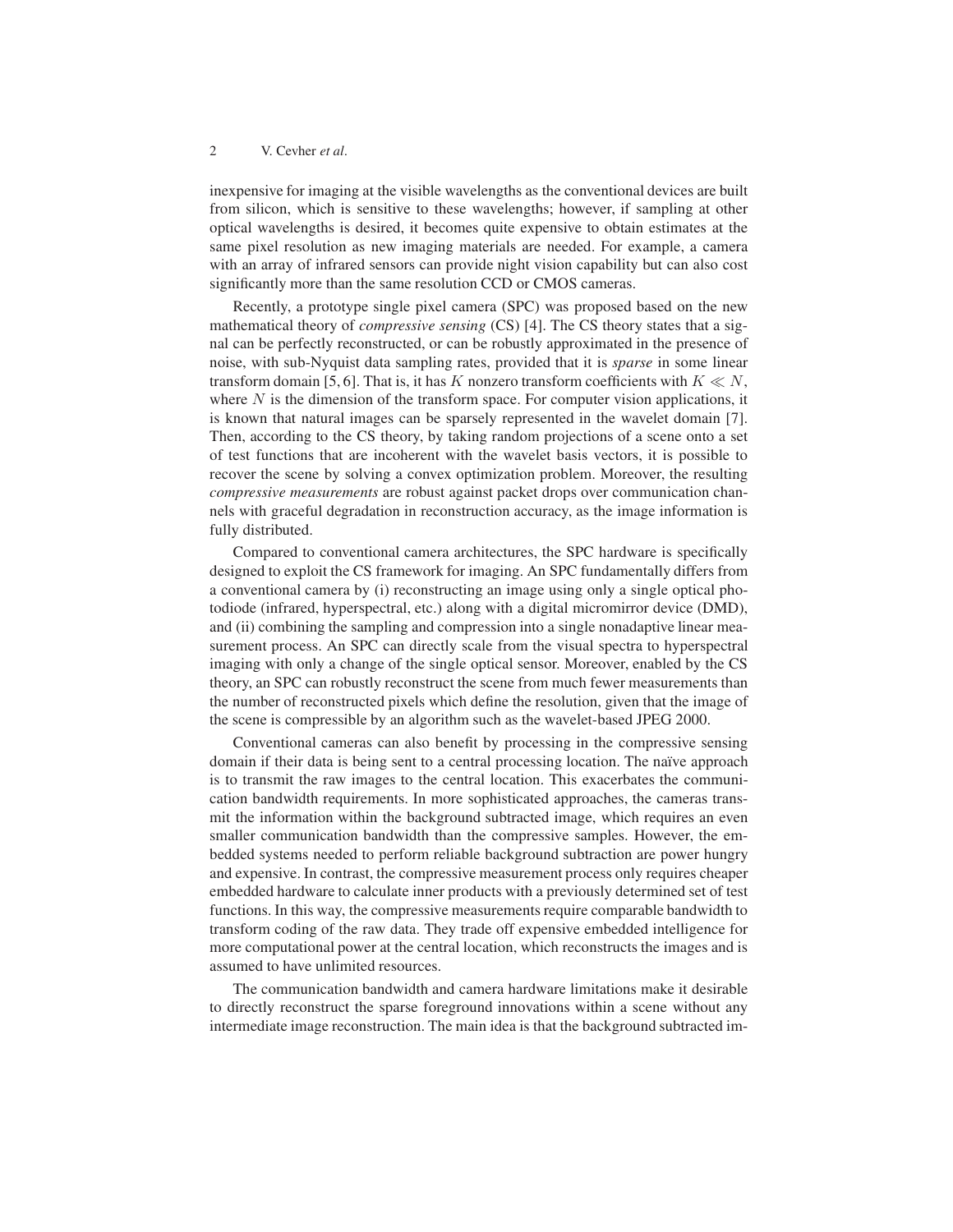inexpensive for imaging at the visible wavelengths as the conventional devices are built from silicon, which is sensitive to these wavelengths; however, if sampling at other optical wavelengths is desired, it becomes quite expensive to obtain estimates at the same pixel resolution as new imaging materials are needed. For example, a camera with an array of infrared sensors can provide night vision capability but can also cost significantly more than the same resolution CCD or CMOS cameras.

Recently, a prototype single pixel camera (SPC) was proposed based on the new mathematical theory of *compressive sensing* (CS) [4]. The CS theory states that a signal can be perfectly reconstructed, or can be robustly approximated in the presence of noise, with sub-Nyquist data sampling rates, provided that it is *sparse* in some linear transform domain [5, 6]. That is, it has K nonzero transform coefficients with  $K \ll N$ , where  $N$  is the dimension of the transform space. For computer vision applications, it is known that natural images can be sparsely represented in the wavelet domain [7]. Then, according to the CS theory, by taking random projections of a scene onto a set of test functions that are incoherent with the wavelet basis vectors, it is possible to recover the scene by solving a convex optimization problem. Moreover, the resulting *compressive measurements* are robust against packet drops over communication channels with graceful degradation in reconstruction accuracy, as the image information is fully distributed.

Compared to conventional camera architectures, the SPC hardware is specifically designed to exploit the CS framework for imaging. An SPC fundamentally differs from a conventional camera by (i) reconstructing an image using only a single optical photodiode (infrared, hyperspectral, etc.) along with a digital micromirror device (DMD), and (ii) combining the sampling and compression into a single nonadaptive linear measurement process. An SPC can directly scale from the visual spectra to hyperspectral imaging with only a change of the single optical sensor. Moreover, enabled by the CS theory, an SPC can robustly reconstruct the scene from much fewer measurements than the number of reconstructed pixels which define the resolution, given that the image of the scene is compressible by an algorithm such as the wavelet-based JPEG 2000.

Conventional cameras can also benefit by processing in the compressive sensing domain if their data is being sent to a central processing location. The naïve approach is to transmit the raw images to the central location. This exacerbates the communication bandwidth requirements. In more sophisticated approaches, the cameras transmit the information within the background subtracted image, which requires an even smaller communication bandwidth than the compressive samples. However, the embedded systems needed to perform reliable background subtraction are power hungry and expensive. In contrast, the compressive measurement process only requires cheaper embedded hardware to calculate inner products with a previously determined set of test functions. In this way, the compressive measurements require comparable bandwidth to transform coding of the raw data. They trade off expensive embedded intelligence for more computational power at the central location, which reconstructs the images and is assumed to have unlimited resources.

The communication bandwidth and camera hardware limitations make it desirable to directly reconstruct the sparse foreground innovations within a scene without any intermediate image reconstruction. The main idea is that the background subtracted im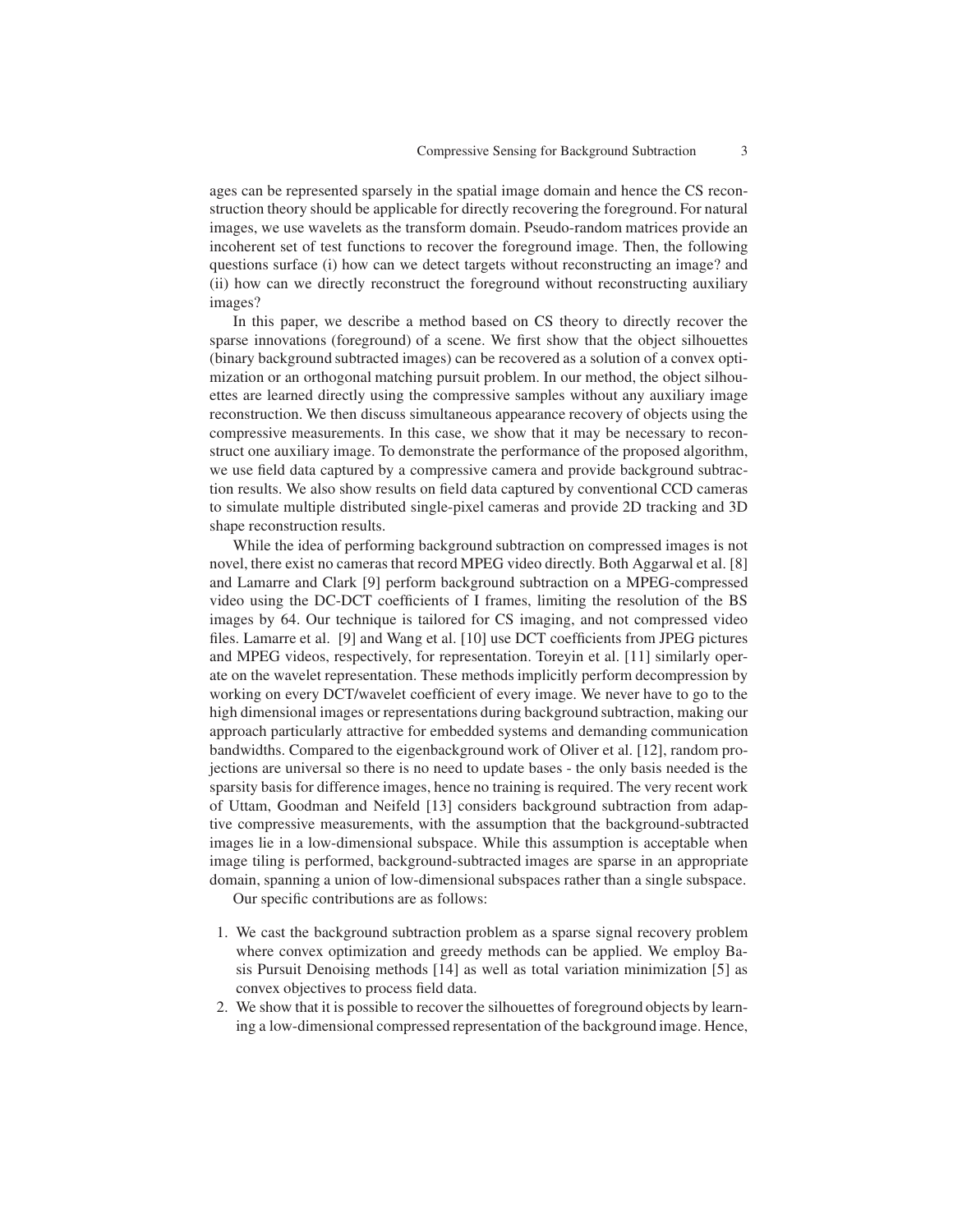ages can be represented sparsely in the spatial image domain and hence the CS reconstruction theory should be applicable for directly recovering the foreground. For natural images, we use wavelets as the transform domain. Pseudo-random matrices provide an incoherent set of test functions to recover the foreground image. Then, the following questions surface (i) how can we detect targets without reconstructing an image? and (ii) how can we directly reconstruct the foreground without reconstructing auxiliary images?

In this paper, we describe a method based on CS theory to directly recover the sparse innovations (foreground) of a scene. We first show that the object silhouettes (binary background subtracted images) can be recovered as a solution of a convex optimization or an orthogonal matching pursuit problem. In our method, the object silhouettes are learned directly using the compressive samples without any auxiliary image reconstruction. We then discuss simultaneous appearance recovery of objects using the compressive measurements. In this case, we show that it may be necessary to reconstruct one auxiliary image. To demonstrate the performance of the proposed algorithm, we use field data captured by a compressive camera and provide background subtraction results. We also show results on field data captured by conventional CCD cameras to simulate multiple distributed single-pixel cameras and provide 2D tracking and 3D shape reconstruction results.

While the idea of performing background subtraction on compressed images is not novel, there exist no cameras that record MPEG video directly. Both Aggarwal et al. [8] and Lamarre and Clark [9] perform background subtraction on a MPEG-compressed video using the DC-DCT coefficients of I frames, limiting the resolution of the BS images by 64. Our technique is tailored for CS imaging, and not compressed video files. Lamarre et al. [9] and Wang et al. [10] use DCT coefficients from JPEG pictures and MPEG videos, respectively, for representation. Toreyin et al. [11] similarly operate on the wavelet representation. These methods implicitly perform decompression by working on every DCT/wavelet coefficient of every image. We never have to go to the high dimensional images or representations during background subtraction, making our approach particularly attractive for embedded systems and demanding communication bandwidths. Compared to the eigenbackground work of Oliver et al. [12], random projections are universal so there is no need to update bases - the only basis needed is the sparsity basis for difference images, hence no training is required. The very recent work of Uttam, Goodman and Neifeld [13] considers background subtraction from adaptive compressive measurements, with the assumption that the background-subtracted images lie in a low-dimensional subspace. While this assumption is acceptable when image tiling is performed, background-subtracted images are sparse in an appropriate domain, spanning a union of low-dimensional subspaces rather than a single subspace.

Our specific contributions are as follows:

- 1. We cast the background subtraction problem as a sparse signal recovery problem where convex optimization and greedy methods can be applied. We employ Basis Pursuit Denoising methods [14] as well as total variation minimization [5] as convex objectives to process field data.
- 2. We show that it is possible to recover the silhouettes of foreground objects by learning a low-dimensional compressed representation of the background image. Hence,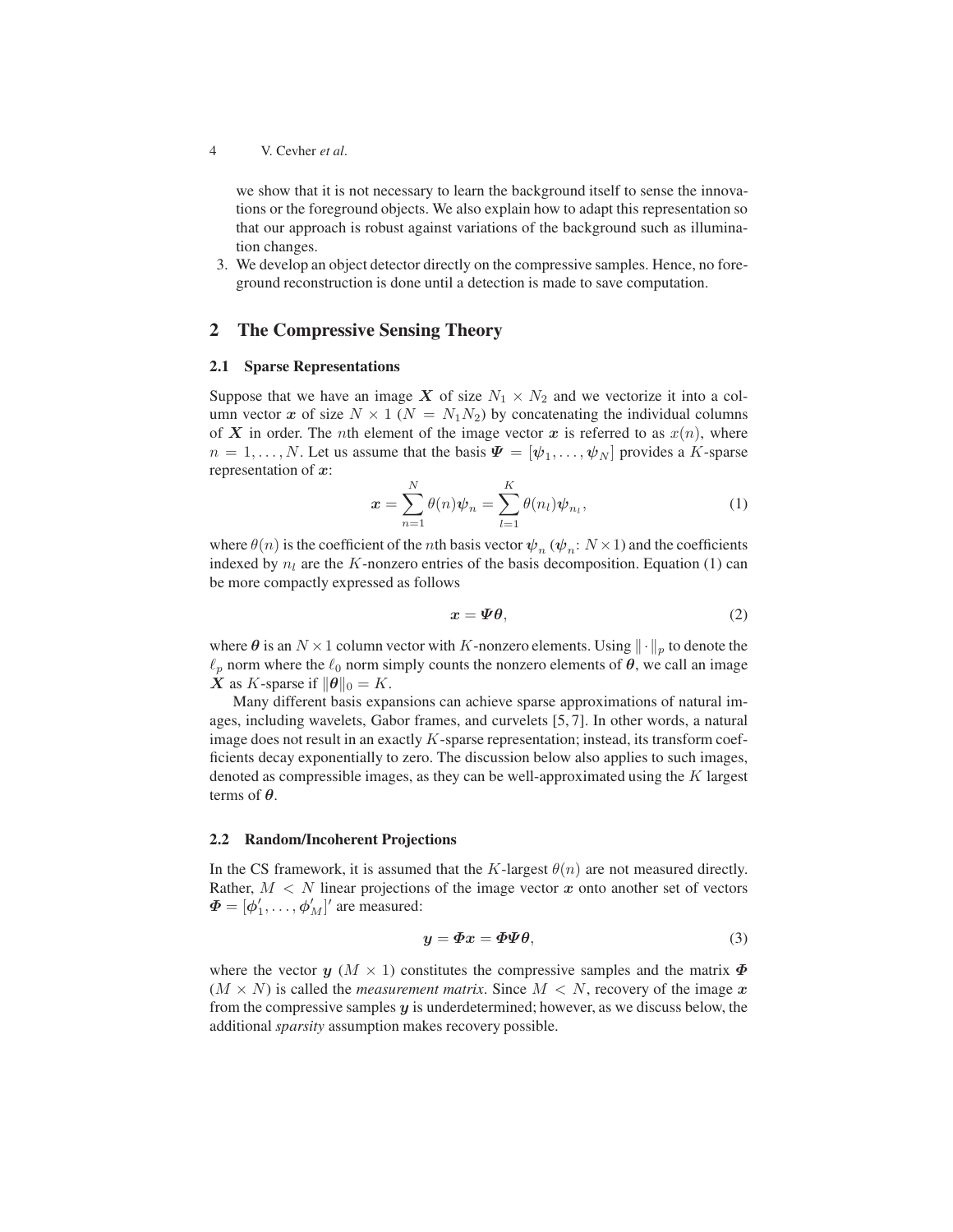we show that it is not necessary to learn the background itself to sense the innovations or the foreground objects. We also explain how to adapt this representation so that our approach is robust against variations of the background such as illumination changes.

3. We develop an object detector directly on the compressive samples. Hence, no foreground reconstruction is done until a detection is made to save computation.

## 2 The Compressive Sensing Theory

### 2.1 Sparse Representations

Suppose that we have an image X of size  $N_1 \times N_2$  and we vectorize it into a column vector x of size  $N \times 1$  ( $N = N_1N_2$ ) by concatenating the individual columns of X in order. The *n*th element of the image vector x is referred to as  $x(n)$ , where  $n = 1, \ldots, N$ . Let us assume that the basis  $\boldsymbol{\varPsi} = [\boldsymbol{\psi}_1, \ldots, \boldsymbol{\psi}_N]$  provides a K-sparse representation of  $x$ :

$$
\boldsymbol{x} = \sum_{n=1}^{N} \theta(n) \boldsymbol{\psi}_n = \sum_{l=1}^{K} \theta(n_l) \boldsymbol{\psi}_{n_l},
$$
\n(1)

where  $\theta(n)$  is the coefficient of the *n*th basis vector  $\psi_n$  ( $\psi_n$ :  $N \times 1$ ) and the coefficients indexed by  $n_l$  are the K-nonzero entries of the basis decomposition. Equation (1) can be more compactly expressed as follows

$$
x = \Psi \theta,\tag{2}
$$

where  $\theta$  is an  $N \times 1$  column vector with K-nonzero elements. Using  $\lVert \cdot \rVert_p$  to denote the  $\ell_p$  norm where the  $\ell_0$  norm simply counts the nonzero elements of  $\theta$ , we call an image **X** as K-sparse if  $\|\boldsymbol{\theta}\|_0 = K$ .

Many different basis expansions can achieve sparse approximations of natural images, including wavelets, Gabor frames, and curvelets [5, 7]. In other words, a natural image does not result in an exactly  $K$ -sparse representation; instead, its transform coefficients decay exponentially to zero. The discussion below also applies to such images, denoted as compressible images, as they can be well-approximated using the  $K$  largest terms of  $\theta$ .

#### 2.2 Random/Incoherent Projections

In the CS framework, it is assumed that the K-largest  $\theta(n)$  are not measured directly. Rather,  $M < N$  linear projections of the image vector  $x$  onto another set of vectors  $\boldsymbol{\Phi} = [\boldsymbol{\phi}_1', \dots, \boldsymbol{\phi}_M']'$  are measured:

$$
y = \Phi x = \Phi \Psi \theta,\tag{3}
$$

where the vector  $y$  ( $M \times 1$ ) constitutes the compressive samples and the matrix  $\Phi$  $(M \times N)$  is called the *measurement matrix*. Since  $M < N$ , recovery of the image x from the compressive samples  $y$  is underdetermined; however, as we discuss below, the additional *sparsity* assumption makes recovery possible.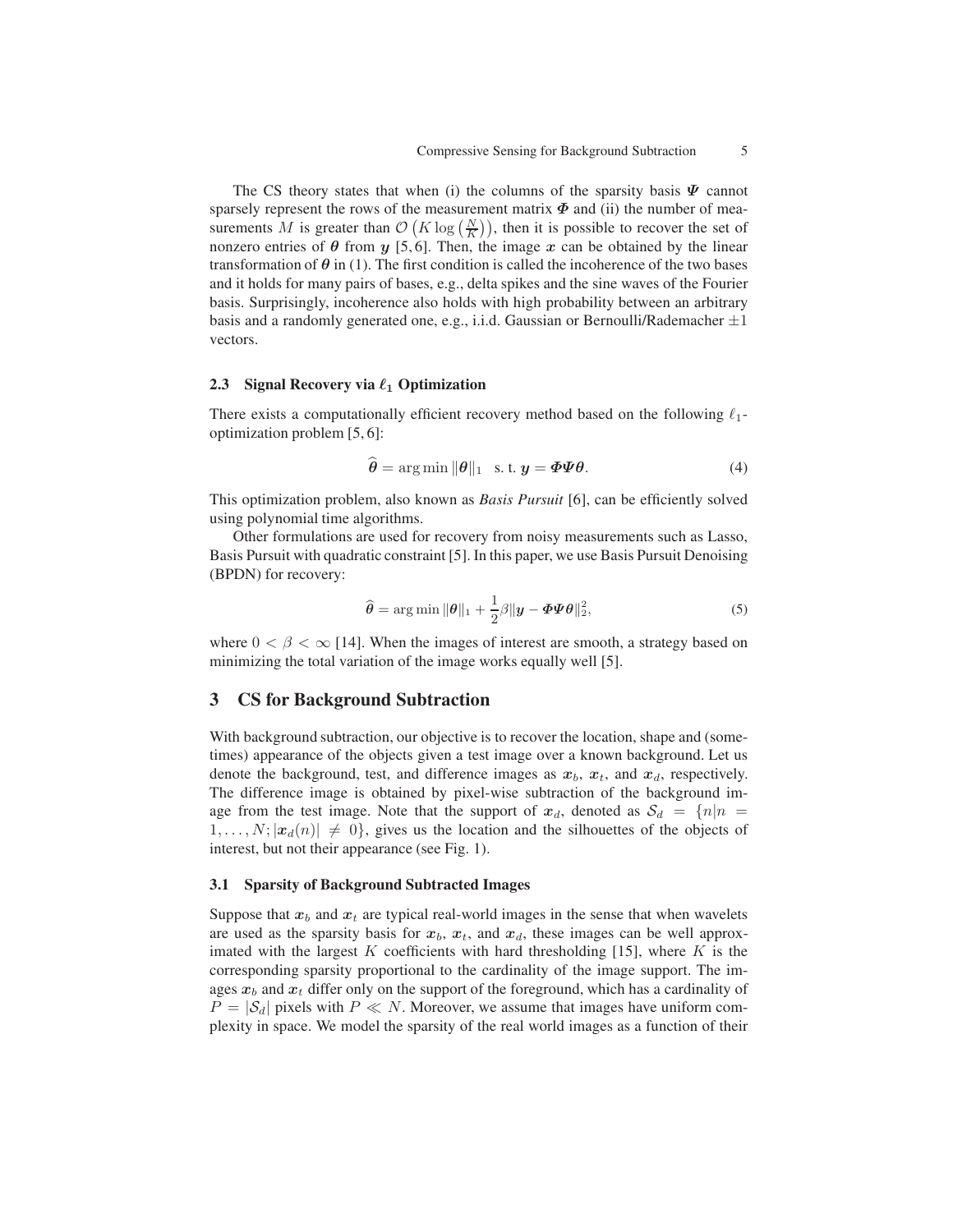The CS theory states that when (i) the columns of the sparsity basis  $\Psi$  cannot sparsely represent the rows of the measurement matrix  $\Phi$  and (ii) the number of measurements M is greater than  $\mathcal{O}(K \log(\frac{N}{K}))$ , then it is possible to recover the set of nonzero entries of  $\theta$  from  $y$  [5,6]. Then, the image  $x$  can be obtained by the linear transformation of  $\theta$  in (1). The first condition is called the incoherence of the two bases and it holds for many pairs of bases, e.g., delta spikes and the sine waves of the Fourier basis. Surprisingly, incoherence also holds with high probability between an arbitrary basis and a randomly generated one, e.g., i.i.d. Gaussian or Bernoulli/Rademacher  $\pm 1$ vectors.

#### 2.3 Signal Recovery via  $\ell_1$  Optimization

There exists a computationally efficient recovery method based on the following  $\ell_1$ optimization problem [5, 6]:

$$
\hat{\boldsymbol{\theta}} = \arg\min \|\boldsymbol{\theta}\|_1 \quad \text{s. t. } \boldsymbol{y} = \boldsymbol{\Phi}\boldsymbol{\Psi}\boldsymbol{\theta}.
$$
 (4)

This optimization problem, also known as *Basis Pursuit* [6], can be efficiently solved using polynomial time algorithms.

Other formulations are used for recovery from noisy measurements such as Lasso, Basis Pursuit with quadratic constraint [5]. In this paper, we use Basis Pursuit Denoising (BPDN) for recovery:

$$
\widehat{\boldsymbol{\theta}} = \arg \min ||\boldsymbol{\theta}||_1 + \frac{1}{2}\beta ||\boldsymbol{y} - \boldsymbol{\Phi}\boldsymbol{\Psi}\boldsymbol{\theta}||_2^2, \tag{5}
$$

where  $0 < \beta < \infty$  [14]. When the images of interest are smooth, a strategy based on minimizing the total variation of the image works equally well [5].

## 3 CS for Background Subtraction

With background subtraction, our objective is to recover the location, shape and (sometimes) appearance of the objects given a test image over a known background. Let us denote the background, test, and difference images as  $x_b$ ,  $x_t$ , and  $x_d$ , respectively. The difference image is obtained by pixel-wise subtraction of the background image from the test image. Note that the support of  $x_d$ , denoted as  $S_d = \{n | n = 1\}$  $[1, \ldots, N; |x_d(n)| \neq 0]$ , gives us the location and the silhouettes of the objects of interest, but not their appearance (see Fig. 1).

#### 3.1 Sparsity of Background Subtracted Images

Suppose that  $x_b$  and  $x_t$  are typical real-world images in the sense that when wavelets are used as the sparsity basis for  $x_b$ ,  $x_t$ , and  $x_d$ , these images can be well approximated with the largest K coefficients with hard thresholding [15], where K is the corresponding sparsity proportional to the cardinality of the image support. The images  $x_b$  and  $x_t$  differ only on the support of the foreground, which has a cardinality of  $P = |\mathcal{S}_d|$  pixels with  $P \ll N$ . Moreover, we assume that images have uniform complexity in space. We model the sparsity of the real world images as a function of their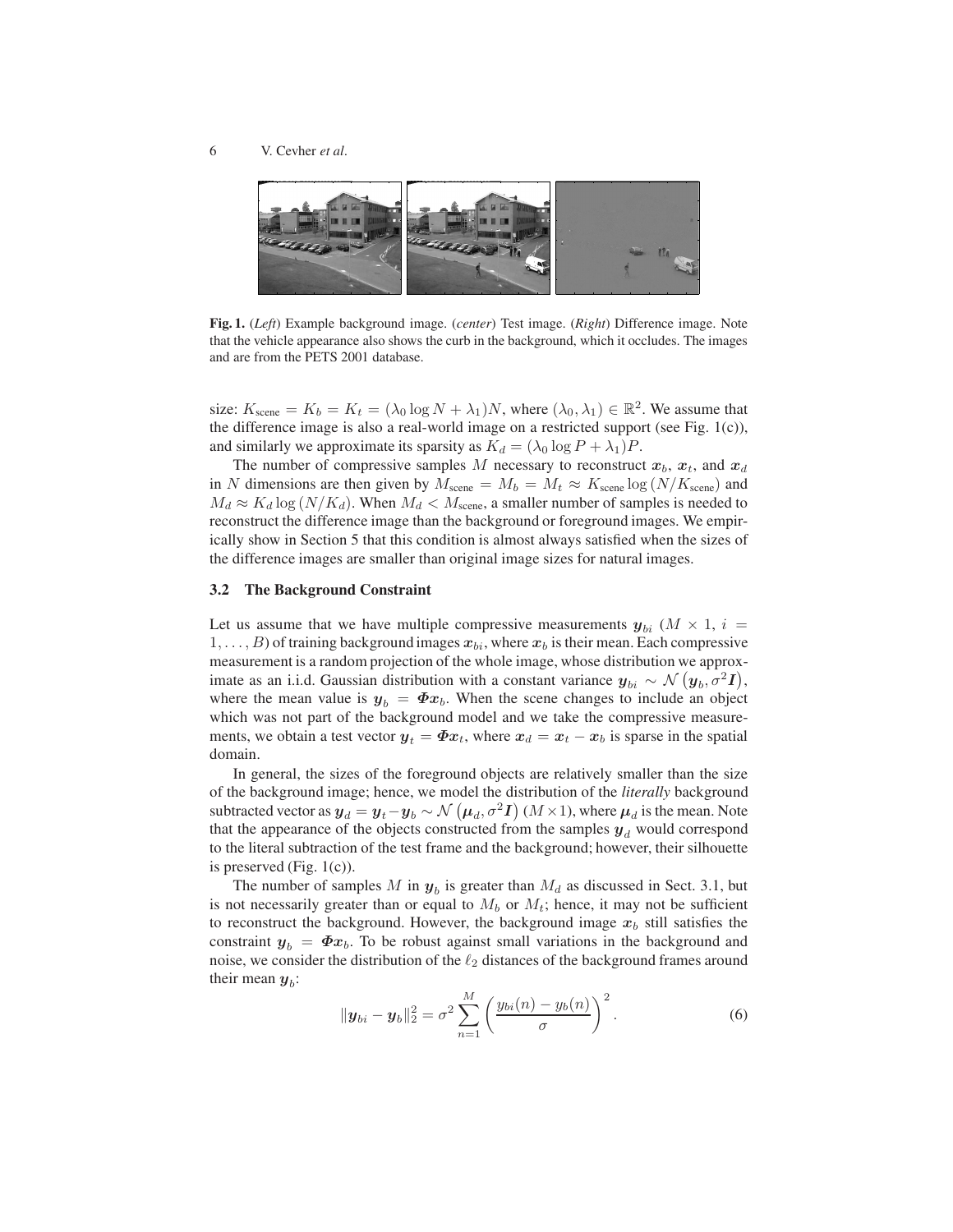

Fig. 1. (*Left*) Example background image. (*center*) Test image. (*Right*) Difference image. Note that the vehicle appearance also shows the curb in the background, which it occludes. The images and are from the PETS 2001 database.

size:  $K_{\text{scene}} = K_b = K_t = (\lambda_0 \log N + \lambda_1)N$ , where  $(\lambda_0, \lambda_1) \in \mathbb{R}^2$ . We assume that the difference image is also a real-world image on a restricted support (see Fig. 1(c)), and similarly we approximate its sparsity as  $K_d = (\lambda_0 \log P + \lambda_1)P$ .

The number of compressive samples M necessary to reconstruct  $x_b$ ,  $x_t$ , and  $x_d$ in N dimensions are then given by  $M_{\text{scene}} = M_b = M_t \approx K_{\text{scene}} \log (N/K_{\text{scene}})$  and  $M_d \approx K_d \log (N/K_d)$ . When  $M_d < M_{\text{scene}}$ , a smaller number of samples is needed to reconstruct the difference image than the background or foreground images. We empirically show in Section 5 that this condition is almost always satisfied when the sizes of the difference images are smaller than original image sizes for natural images.

#### 3.2 The Background Constraint

Let us assume that we have multiple compressive measurements  $y_{bi}$  ( $M \times 1$ ,  $i =$  $1, \ldots, B$ ) of training background images  $x_{bi}$ , where  $x_b$  is their mean. Each compressive measurement is a random projection of the whole image, whose distribution we approximate as an i.i.d. Gaussian distribution with a constant variance  $y_{bi} \sim \mathcal{N}(y_b, \sigma^2 I)$ , where the mean value is  $y_b = \Phi x_b$ . When the scene changes to include an object which was not part of the background model and we take the compressive measurements, we obtain a test vector  $y_t = \Phi x_t$ , where  $x_d = x_t - x_b$  is sparse in the spatial domain.

In general, the sizes of the foreground objects are relatively smaller than the size of the background image; hence, we model the distribution of the *literally* background subtracted vector as  $y_d = y_t - y_b \sim \mathcal{N}(\mu_d, \sigma^2 I)$  ( $M \times 1$ ), where  $\mu_d$  is the mean. Note that the appearance of the objects constructed from the samples  $y_d$  would correspond to the literal subtraction of the test frame and the background; however, their silhouette is preserved (Fig. 1(c)).

The number of samples M in  $y_b$  is greater than  $M_d$  as discussed in Sect. 3.1, but is not necessarily greater than or equal to  $M_b$  or  $M_t$ ; hence, it may not be sufficient to reconstruct the background. However, the background image  $x_b$  still satisfies the constraint  $y_b = \Phi x_b$ . To be robust against small variations in the background and noise, we consider the distribution of the  $\ell_2$  distances of the background frames around their mean  $y_b$ :

$$
\|\boldsymbol{y}_{bi} - \boldsymbol{y}_{b}\|_{2}^{2} = \sigma^{2} \sum_{n=1}^{M} \left(\frac{y_{bi}(n) - y_{b}(n)}{\sigma}\right)^{2}.
$$
 (6)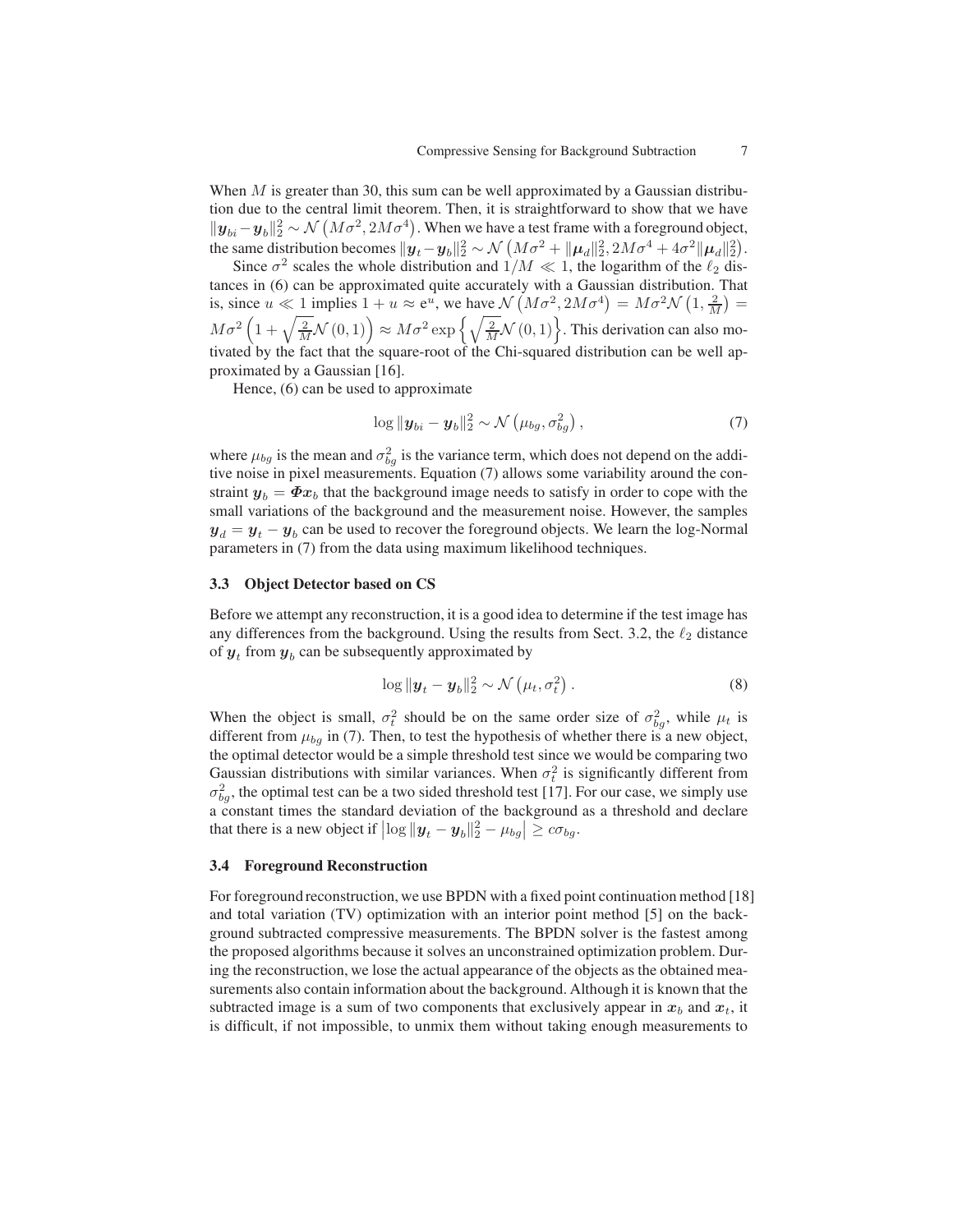When  $M$  is greater than 30, this sum can be well approximated by a Gaussian distribution due to the central limit theorem. Then, it is straightforward to show that we have  $||\mathbf{y}_{bi}-\mathbf{y}_{b}||_2^2 \sim \mathcal{N}\left(M\sigma^2, 2M\sigma^4\right)$ . When we have a test frame with a foreground object, the same distribution becomes  $\|\hat{\bm{y}}_t - \bm{y}_b\|_2^2 \sim \mathcal{N}\left(M\sigma^2 + \|\bm{\mu}_d\|_2^2, 2M\sigma^4 + 4\sigma^2\|\bm{\mu}_d\|_2^2\right).$ 

Since  $\sigma^2$  scales the whole distribution and  $1/M \ll 1$ , the logarithm of the  $\ell_2$  distances in (6) can be approximated quite accurately with a Gaussian distribution. That is, since  $u \ll 1$  implies  $1 + u \approx e^{u}$ , we have  $\mathcal{N}(M\sigma^2, 2M\sigma^4) = M\sigma^2 \mathcal{N}(1, \frac{2}{M}) =$  $M\sigma^2\left(1+\sqrt{\frac{2}{M}}\mathcal{N}\left(0,1\right)\right)\approx M\sigma^2\exp\left\{\sqrt{\frac{2}{M}}\mathcal{N}\left(0,1\right)\right\}$ . This derivation can also motivated by the fact that the square-root of the Chi-squared distribution can be well approximated by a Gaussian [16].

Hence, (6) can be used to approximate

$$
\log \|\boldsymbol{y}_{bi} - \boldsymbol{y}_{b}\|_{2}^{2} \sim \mathcal{N}\left(\mu_{bg}, \sigma_{bg}^{2}\right),\tag{7}
$$

where  $\mu_{bg}$  is the mean and  $\sigma_{bg}^2$  is the variance term, which does not depend on the additive noise in pixel measurements. Equation (7) allows some variability around the constraint  $y_b = \Phi x_b$  that the background image needs to satisfy in order to cope with the small variations of the background and the measurement noise. However, the samples  $y_d = y_t - y_b$  can be used to recover the foreground objects. We learn the log-Normal parameters in (7) from the data using maximum likelihood techniques.

### 3.3 Object Detector based on CS

Before we attempt any reconstruction, it is a good idea to determine if the test image has any differences from the background. Using the results from Sect. 3.2, the  $\ell_2$  distance of  $y_t$  from  $y_b$  can be subsequently approximated by

$$
\log \|\boldsymbol{y}_t - \boldsymbol{y}_b\|_2^2 \sim \mathcal{N}\left(\mu_t, \sigma_t^2\right). \tag{8}
$$

When the object is small,  $\sigma_t^2$  should be on the same order size of  $\sigma_{bg}^2$ , while  $\mu_t$  is different from  $\mu_{bg}$  in (7). Then, to test the hypothesis of whether there is a new object, the optimal detector would be a simple threshold test since we would be comparing two Gaussian distributions with similar variances. When  $\sigma_t^2$  is significantly different from  $\sigma_{bg}^2$ , the optimal test can be a two sided threshold test [17]. For our case, we simply use a constant times the standard deviation of the background as a threshold and declare that there is a new object if  $\left|\log\|\boldsymbol{y}_t-\boldsymbol{y}_b\|_2^2-\mu_{bg}\right| \geq c\sigma_{bg}$ .

#### 3.4 Foreground Reconstruction

For foreground reconstruction, we use BPDN with a fixed point continuation method [18] and total variation (TV) optimization with an interior point method [5] on the background subtracted compressive measurements. The BPDN solver is the fastest among the proposed algorithms because it solves an unconstrained optimization problem. During the reconstruction, we lose the actual appearance of the objects as the obtained measurements also contain information about the background. Although it is known that the subtracted image is a sum of two components that exclusively appear in  $x_b$  and  $x_t$ , it is difficult, if not impossible, to unmix them without taking enough measurements to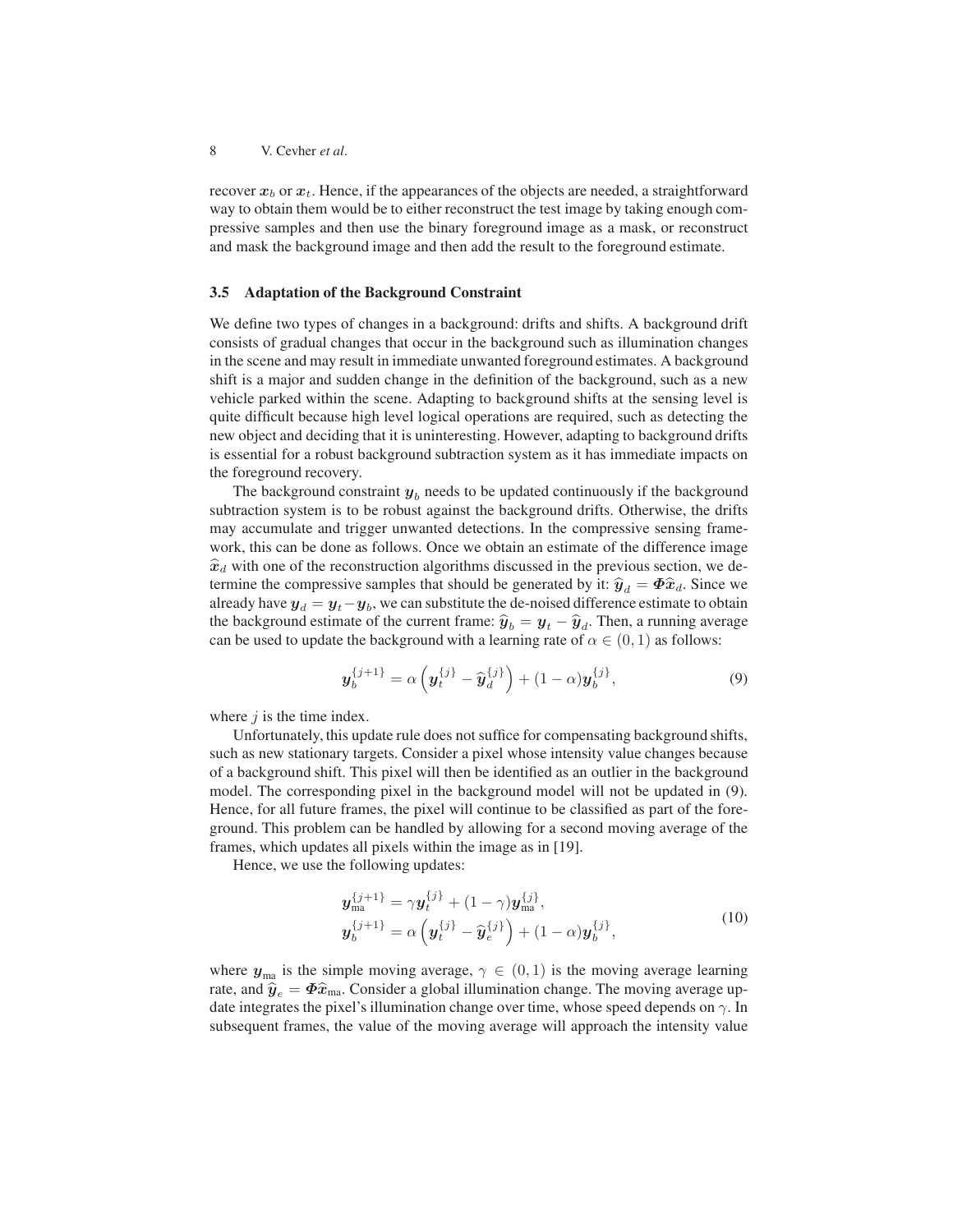recover  $x_b$  or  $x_t$ . Hence, if the appearances of the objects are needed, a straightforward way to obtain them would be to either reconstruct the test image by taking enough compressive samples and then use the binary foreground image as a mask, or reconstruct and mask the background image and then add the result to the foreground estimate.

### 3.5 Adaptation of the Background Constraint

We define two types of changes in a background: drifts and shifts. A background drift consists of gradual changes that occur in the background such as illumination changes in the scene and may result in immediate unwanted foreground estimates. A background shift is a major and sudden change in the definition of the background, such as a new vehicle parked within the scene. Adapting to background shifts at the sensing level is quite difficult because high level logical operations are required, such as detecting the new object and deciding that it is uninteresting. However, adapting to background drifts is essential for a robust background subtraction system as it has immediate impacts on the foreground recovery.

The background constraint  $y_b$  needs to be updated continuously if the background subtraction system is to be robust against the background drifts. Otherwise, the drifts may accumulate and trigger unwanted detections. In the compressive sensing framework, this can be done as follows. Once we obtain an estimate of the difference image  $\hat{x}_d$  with one of the reconstruction algorithms discussed in the previous section, we determine the compressive samples that should be generated by it:  $\hat{y}_d = \Phi \hat{x}_d$ . Since we already have  $\boldsymbol{y}_d = \boldsymbol{y}_t - \boldsymbol{y}_b$ , we can substitute the de-noised difference estimate to obtain the background estimate of the current frame:  $\hat{y}_b = y_t - \hat{y}_d$ . Then, a running average can be used to update the background with a learning rate of  $\alpha \in (0, 1)$  as follows:

$$
\mathbf{y}_b^{\{j+1\}} = \alpha \left( \mathbf{y}_t^{\{j\}} - \widehat{\mathbf{y}}_d^{\{j\}} \right) + (1 - \alpha) \mathbf{y}_b^{\{j\}},\tag{9}
$$

where  $j$  is the time index.

Unfortunately, this update rule does not suffice for compensating background shifts, such as new stationary targets. Consider a pixel whose intensity value changes because of a background shift. This pixel will then be identified as an outlier in the background model. The corresponding pixel in the background model will not be updated in (9). Hence, for all future frames, the pixel will continue to be classified as part of the foreground. This problem can be handled by allowing for a second moving average of the frames, which updates all pixels within the image as in [19].

Hence, we use the following updates:

$$
\mathbf{y}_{\text{ma}}^{\{j+1\}} = \gamma \mathbf{y}_t^{\{j\}} + (1-\gamma) \mathbf{y}_{\text{ma}}^{\{j\}},
$$
  

$$
\mathbf{y}_b^{\{j+1\}} = \alpha \left( \mathbf{y}_t^{\{j\}} - \widehat{\mathbf{y}}_e^{\{j\}} \right) + (1-\alpha) \mathbf{y}_b^{\{j\}},
$$
 (10)

where  $y_{\text{ma}}$  is the simple moving average,  $\gamma \in (0,1)$  is the moving average learning rate, and  $\hat{y}_e = \Phi \hat{x}_{\text{ma}}$ . Consider a global illumination change. The moving average update integrates the pixel's illumination change over time, whose speed depends on  $\gamma$ . In subsequent frames, the value of the moving average will approach the intensity value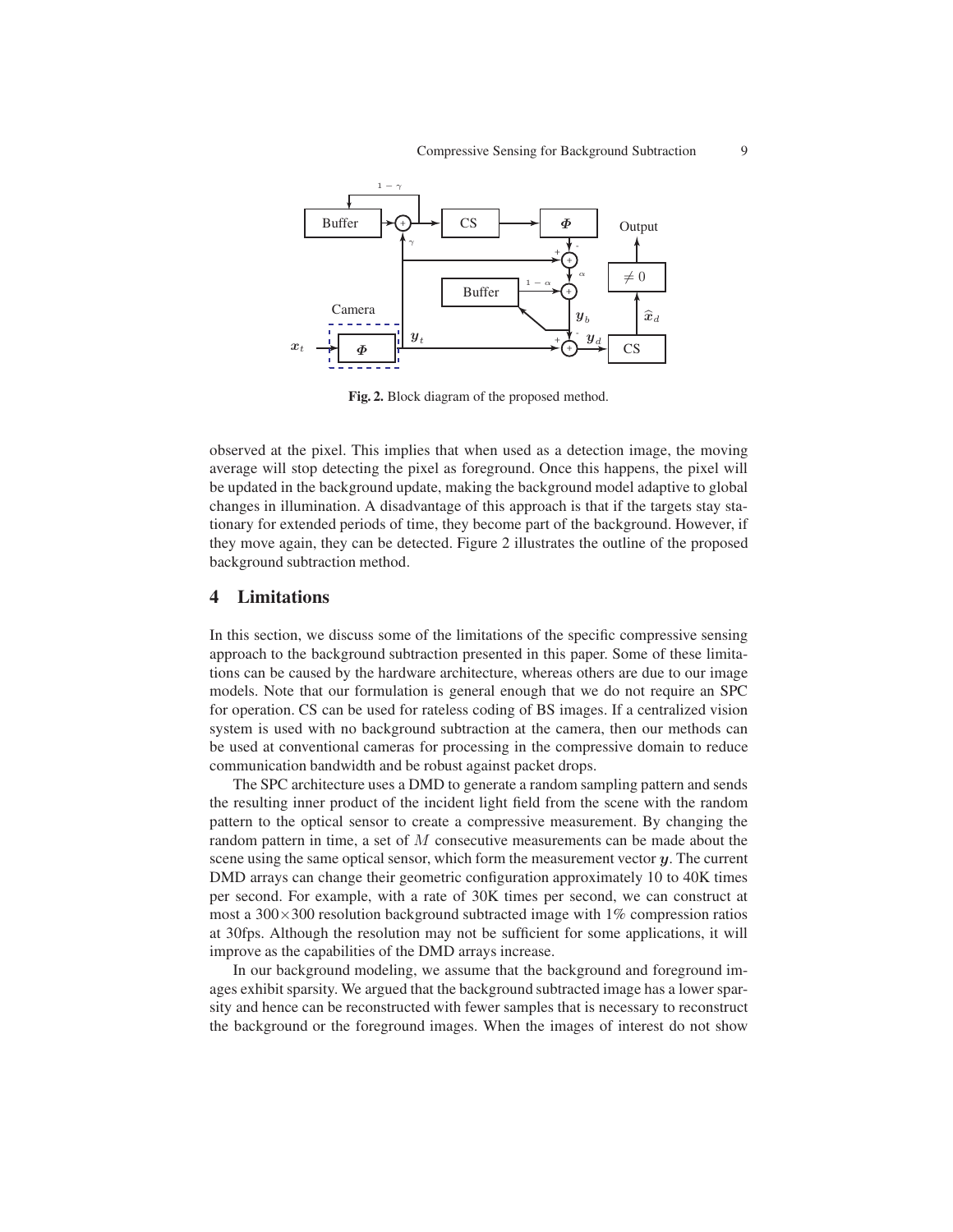

Fig. 2. Block diagram of the proposed method.

observed at the pixel. This implies that when used as a detection image, the moving average will stop detecting the pixel as foreground. Once this happens, the pixel will be updated in the background update, making the background model adaptive to global changes in illumination. A disadvantage of this approach is that if the targets stay stationary for extended periods of time, they become part of the background. However, if they move again, they can be detected. Figure 2 illustrates the outline of the proposed background subtraction method.

## 4 Limitations

In this section, we discuss some of the limitations of the specific compressive sensing approach to the background subtraction presented in this paper. Some of these limitations can be caused by the hardware architecture, whereas others are due to our image models. Note that our formulation is general enough that we do not require an SPC for operation. CS can be used for rateless coding of BS images. If a centralized vision system is used with no background subtraction at the camera, then our methods can be used at conventional cameras for processing in the compressive domain to reduce communication bandwidth and be robust against packet drops.

The SPC architecture uses a DMD to generate a random sampling pattern and sends the resulting inner product of the incident light field from the scene with the random pattern to the optical sensor to create a compressive measurement. By changing the random pattern in time, a set of M consecutive measurements can be made about the scene using the same optical sensor, which form the measurement vector  $\boldsymbol{\psi}$ . The current DMD arrays can change their geometric configuration approximately 10 to 40K times per second. For example, with a rate of 30K times per second, we can construct at most a  $300 \times 300$  resolution background subtracted image with  $1\%$  compression ratios at 30fps. Although the resolution may not be sufficient for some applications, it will improve as the capabilities of the DMD arrays increase.

In our background modeling, we assume that the background and foreground images exhibit sparsity. We argued that the background subtracted image has a lower sparsity and hence can be reconstructed with fewer samples that is necessary to reconstruct the background or the foreground images. When the images of interest do not show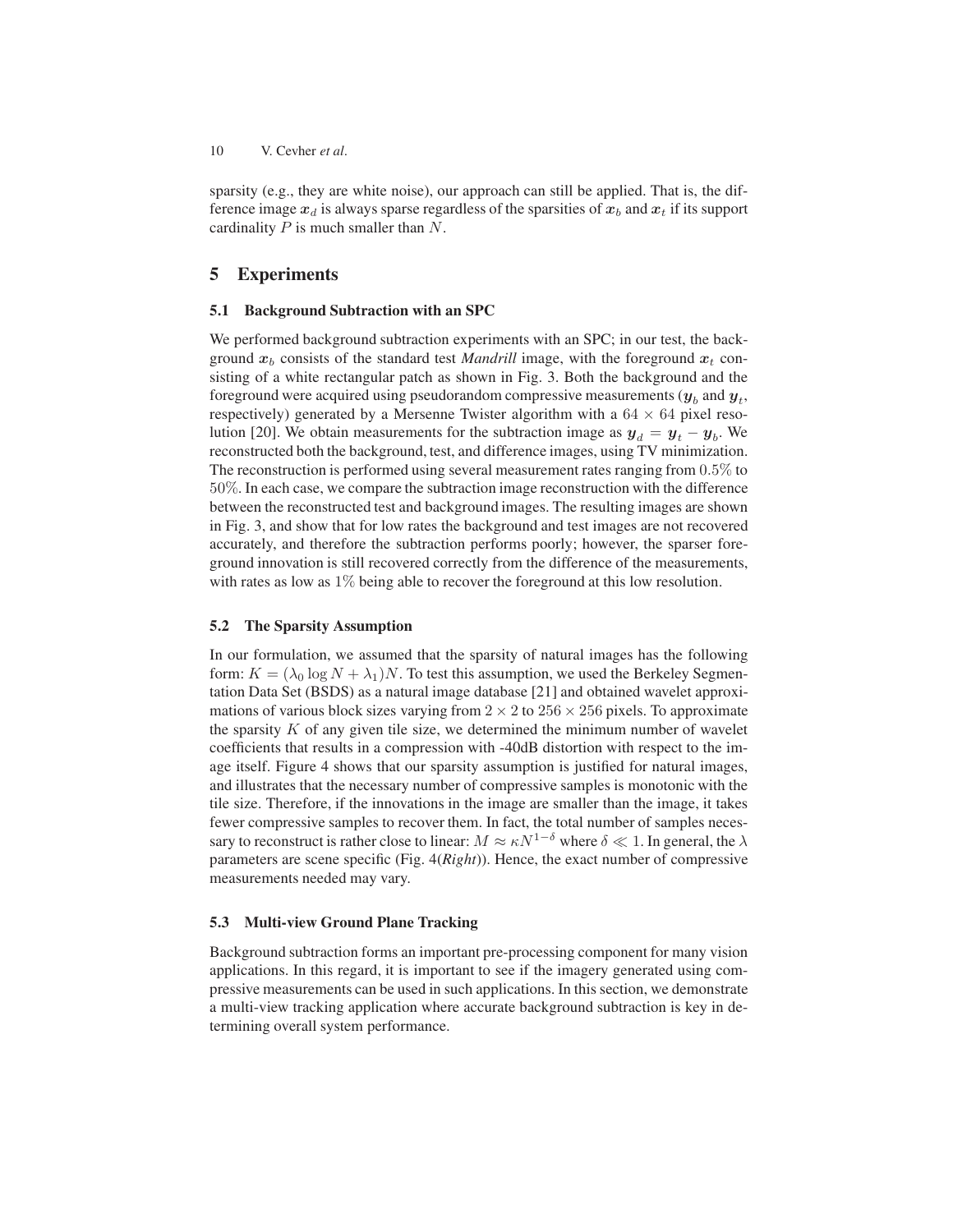sparsity (e.g., they are white noise), our approach can still be applied. That is, the difference image  $x_d$  is always sparse regardless of the sparsities of  $x_b$  and  $x_t$  if its support cardinality  $P$  is much smaller than  $N$ .

## 5 Experiments

#### 5.1 Background Subtraction with an SPC

We performed background subtraction experiments with an SPC; in our test, the background  $x_b$  consists of the standard test *Mandrill* image, with the foreground  $x_t$  consisting of a white rectangular patch as shown in Fig. 3. Both the background and the foreground were acquired using pseudorandom compressive measurements (  $\pmb{y}_b$  and  $\pmb{y}_t$  , respectively) generated by a Mersenne Twister algorithm with a  $64 \times 64$  pixel resolution [20]. We obtain measurements for the subtraction image as  $y_d = y_t - y_b$ . We reconstructed both the background, test, and difference images, using TV minimization. The reconstruction is performed using several measurement rates ranging from 0.5% to 50%. In each case, we compare the subtraction image reconstruction with the difference between the reconstructed test and background images. The resulting images are shown in Fig. 3, and show that for low rates the background and test images are not recovered accurately, and therefore the subtraction performs poorly; however, the sparser foreground innovation is still recovered correctly from the difference of the measurements, with rates as low as 1% being able to recover the foreground at this low resolution.

### 5.2 The Sparsity Assumption

In our formulation, we assumed that the sparsity of natural images has the following form:  $K = (\lambda_0 \log N + \lambda_1)N$ . To test this assumption, we used the Berkeley Segmentation Data Set (BSDS) as a natural image database [21] and obtained wavelet approximations of various block sizes varying from  $2 \times 2$  to  $256 \times 256$  pixels. To approximate the sparsity  $K$  of any given tile size, we determined the minimum number of wavelet coefficients that results in a compression with -40dB distortion with respect to the image itself. Figure 4 shows that our sparsity assumption is justified for natural images, and illustrates that the necessary number of compressive samples is monotonic with the tile size. Therefore, if the innovations in the image are smaller than the image, it takes fewer compressive samples to recover them. In fact, the total number of samples necessary to reconstruct is rather close to linear:  $M \approx \kappa N^{1-\delta}$  where  $\delta \ll 1$ . In general, the  $\lambda$ parameters are scene specific (Fig. 4(*Right*)). Hence, the exact number of compressive measurements needed may vary.

### 5.3 Multi-view Ground Plane Tracking

Background subtraction forms an important pre-processing component for many vision applications. In this regard, it is important to see if the imagery generated using compressive measurements can be used in such applications. In this section, we demonstrate a multi-view tracking application where accurate background subtraction is key in determining overall system performance.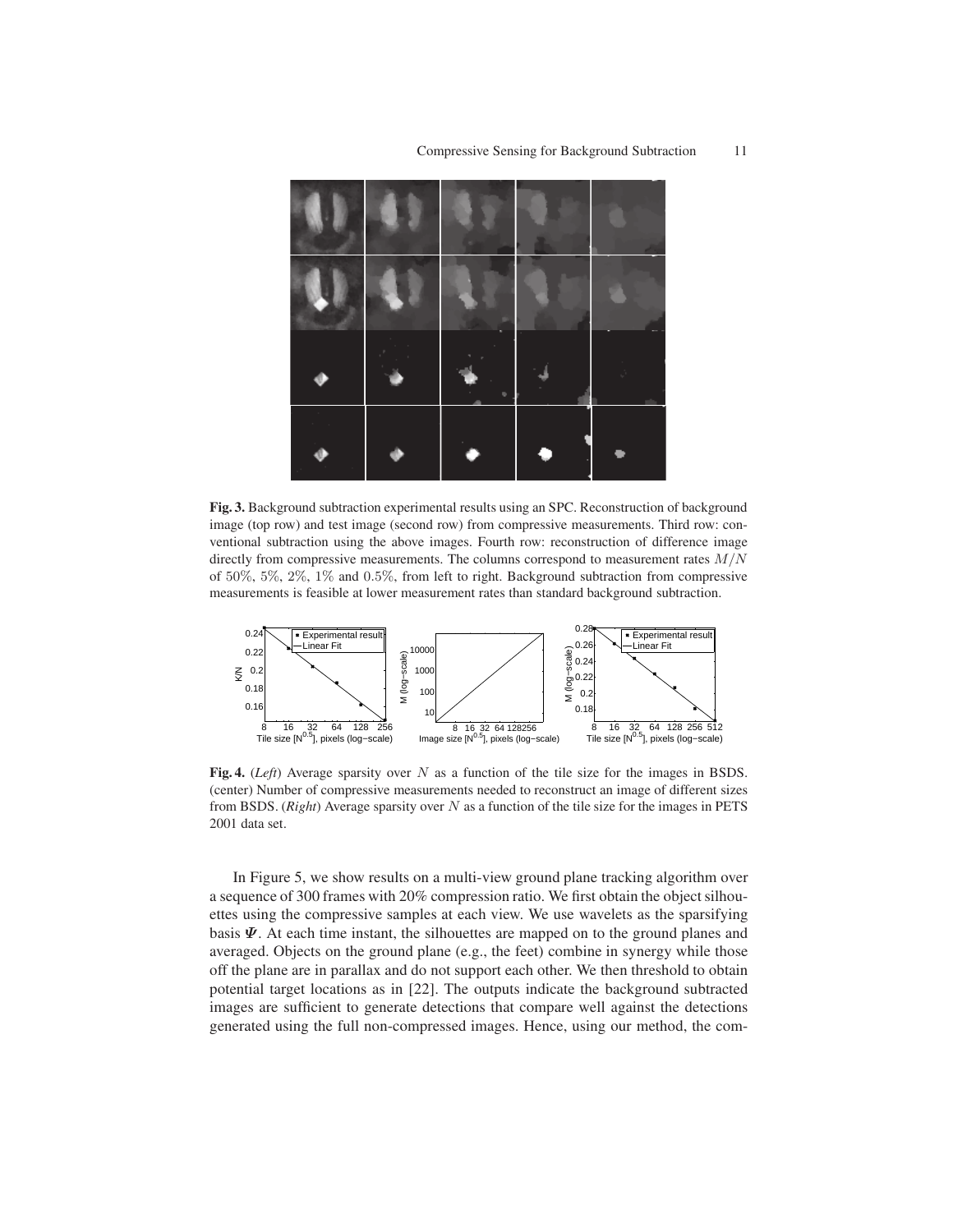

Fig. 3. Background subtraction experimental results using an SPC. Reconstruction of background image (top row) and test image (second row) from compressive measurements. Third row: conventional subtraction using the above images. Fourth row: reconstruction of difference image directly from compressive measurements. The columns correspond to measurement rates  $M/N$ of 50%, 5%, 2%, 1% and 0.5%, from left to right. Background subtraction from compressive measurements is feasible at lower measurement rates than standard background subtraction.



Fig. 4. (*Left*) Average sparsity over N as a function of the tile size for the images in BSDS. (center) Number of compressive measurements needed to reconstruct an image of different sizes from BSDS. (*Right*) Average sparsity over  $N$  as a function of the tile size for the images in PETS 2001 data set.

In Figure 5, we show results on a multi-view ground plane tracking algorithm over a sequence of 300 frames with 20% compression ratio. We first obtain the object silhouettes using the compressive samples at each view. We use wavelets as the sparsifying basis  $\Psi$ . At each time instant, the silhouettes are mapped on to the ground planes and averaged. Objects on the ground plane (e.g., the feet) combine in synergy while those off the plane are in parallax and do not support each other. We then threshold to obtain potential target locations as in [22]. The outputs indicate the background subtracted images are sufficient to generate detections that compare well against the detections generated using the full non-compressed images. Hence, using our method, the com-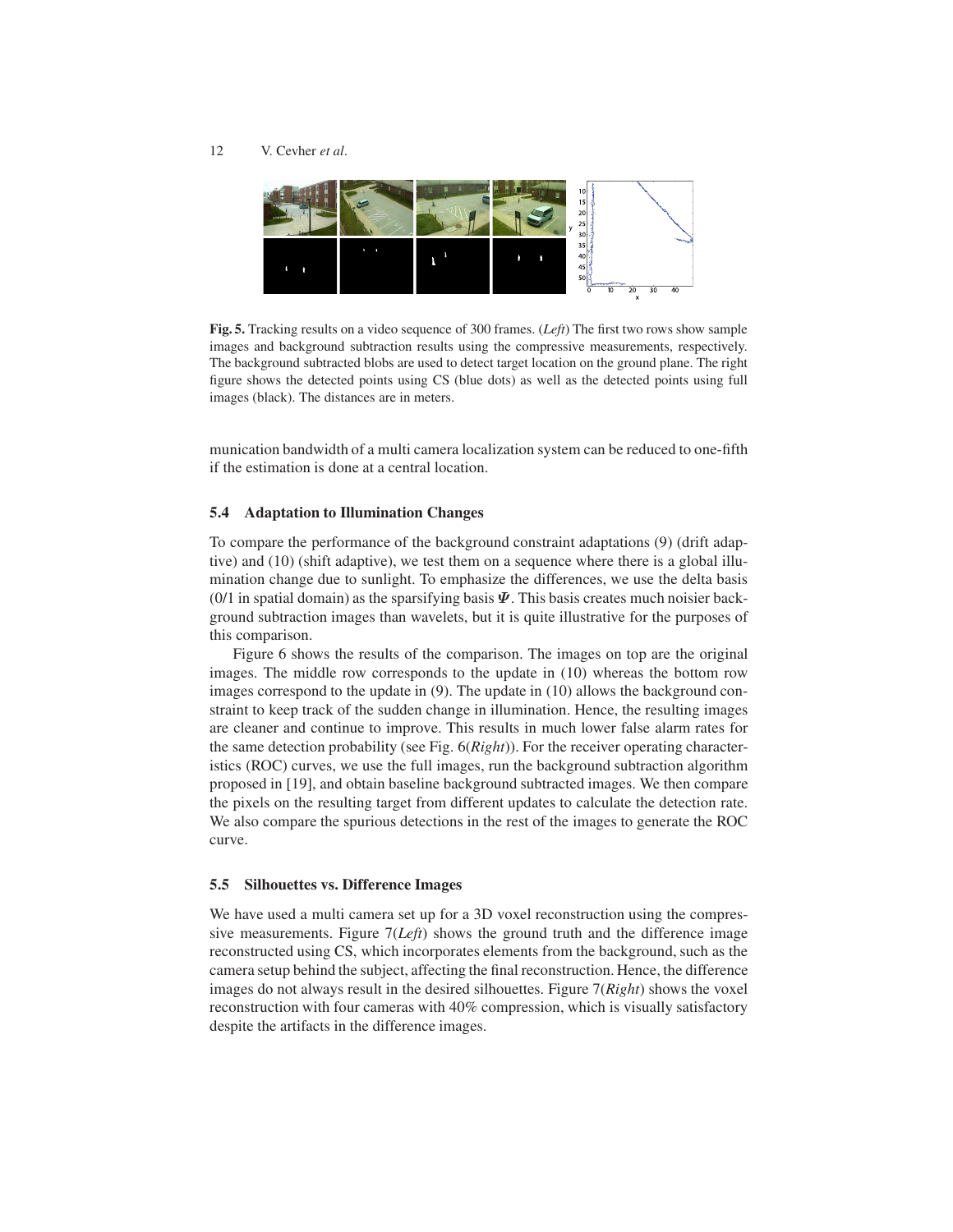

Fig. 5. Tracking results on a video sequence of 300 frames. (*Left*) The first two rows show sample images and background subtraction results using the compressive measurements, respectively. The background subtracted blobs are used to detect target location on the ground plane. The right figure shows the detected points using CS (blue dots) as well as the detected points using full images (black). The distances are in meters.

munication bandwidth of a multi camera localization system can be reduced to one-fifth if the estimation is done at a central location.

### 5.4 Adaptation to Illumination Changes

To compare the performance of the background constraint adaptations (9) (drift adaptive) and (10) (shift adaptive), we test them on a sequence where there is a global illumination change due to sunlight. To emphasize the differences, we use the delta basis (0/1 in spatial domain) as the sparsifying basis  $\Psi$ . This basis creates much noisier background subtraction images than wavelets, but it is quite illustrative for the purposes of this comparison.

Figure 6 shows the results of the comparison. The images on top are the original images. The middle row corresponds to the update in (10) whereas the bottom row images correspond to the update in (9). The update in (10) allows the background constraint to keep track of the sudden change in illumination. Hence, the resulting images are cleaner and continue to improve. This results in much lower false alarm rates for the same detection probability (see Fig. 6(*Right*)). For the receiver operating characteristics (ROC) curves, we use the full images, run the background subtraction algorithm proposed in [19], and obtain baseline background subtracted images. We then compare the pixels on the resulting target from different updates to calculate the detection rate. We also compare the spurious detections in the rest of the images to generate the ROC curve.

### 5.5 Silhouettes vs. Difference Images

We have used a multi camera set up for a 3D voxel reconstruction using the compressive measurements. Figure 7(*Left*) shows the ground truth and the difference image reconstructed using CS, which incorporates elements from the background, such as the camera setup behind the subject, affecting the final reconstruction. Hence, the difference images do not always result in the desired silhouettes. Figure 7(*Right*) shows the voxel reconstruction with four cameras with 40% compression, which is visually satisfactory despite the artifacts in the difference images.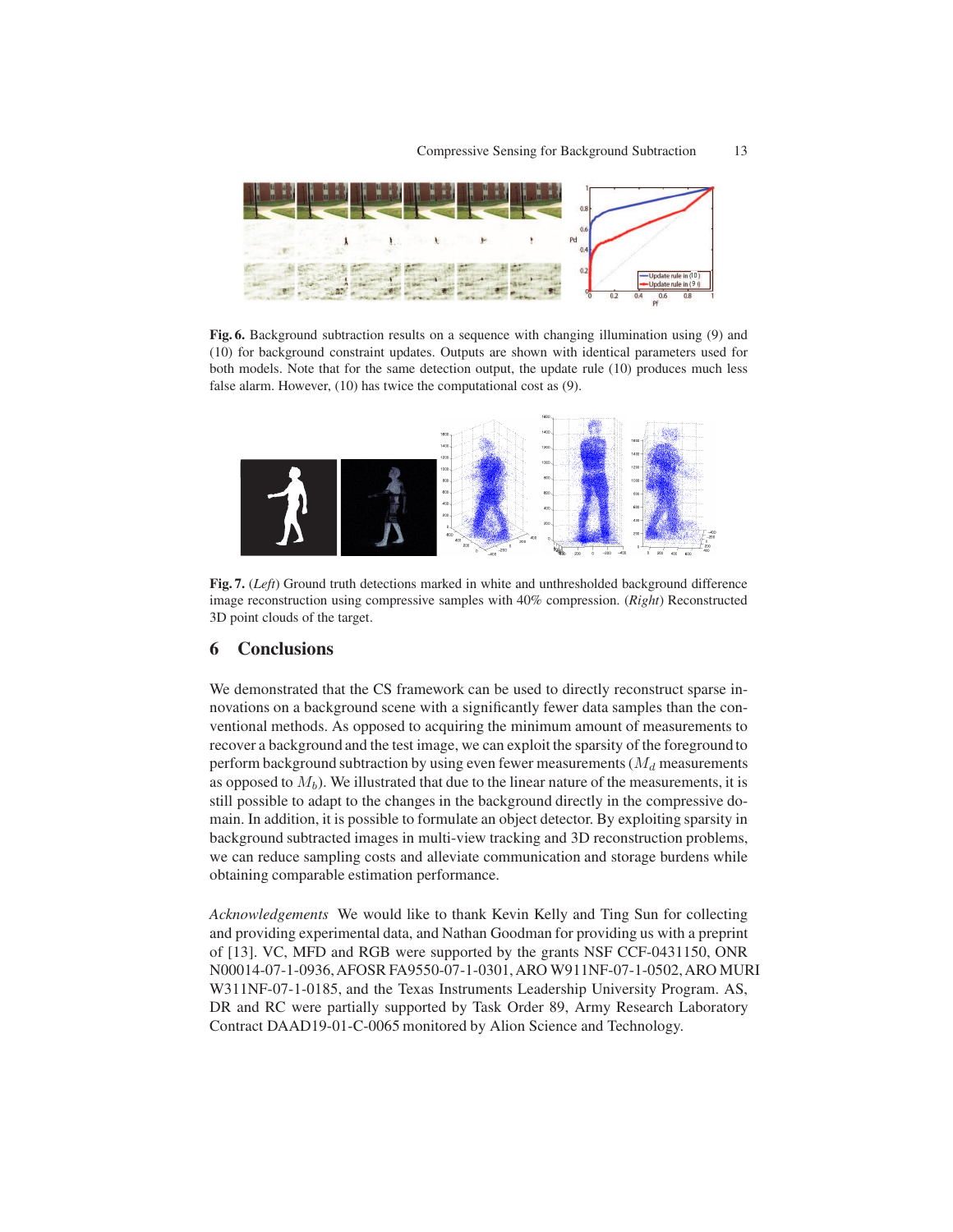

Fig. 6. Background subtraction results on a sequence with changing illumination using (9) and (10) for background constraint updates. Outputs are shown with identical parameters used for both models. Note that for the same detection output, the update rule (10) produces much less false alarm. However, (10) has twice the computational cost as (9).



Fig. 7. (*Left*) Ground truth detections marked in white and unthresholded background difference image reconstruction using compressive samples with 40% compression. (*Right*) Reconstructed 3D point clouds of the target.

## 6 Conclusions

We demonstrated that the CS framework can be used to directly reconstruct sparse innovations on a background scene with a significantly fewer data samples than the conventional methods. As opposed to acquiring the minimum amount of measurements to recover a background and the test image, we can exploit the sparsity of the foregroundto perform background subtraction by using even fewer measurements ( $M_d$  measurements as opposed to  $M_h$ ). We illustrated that due to the linear nature of the measurements, it is still possible to adapt to the changes in the background directly in the compressive domain. In addition, it is possible to formulate an object detector. By exploiting sparsity in background subtracted images in multi-view tracking and 3D reconstruction problems, we can reduce sampling costs and alleviate communication and storage burdens while obtaining comparable estimation performance.

*Acknowledgements* We would like to thank Kevin Kelly and Ting Sun for collecting and providing experimental data, and Nathan Goodman for providing us with a preprint of [13]. VC, MFD and RGB were supported by the grants NSF CCF-0431150, ONR N00014-07-1-0936, AFOSR FA9550-07-1-0301, ARO W911NF-07-1-0502, ARO MURI W311NF-07-1-0185, and the Texas Instruments Leadership University Program. AS, DR and RC were partially supported by Task Order 89, Army Research Laboratory Contract DAAD19-01-C-0065 monitored by Alion Science and Technology.